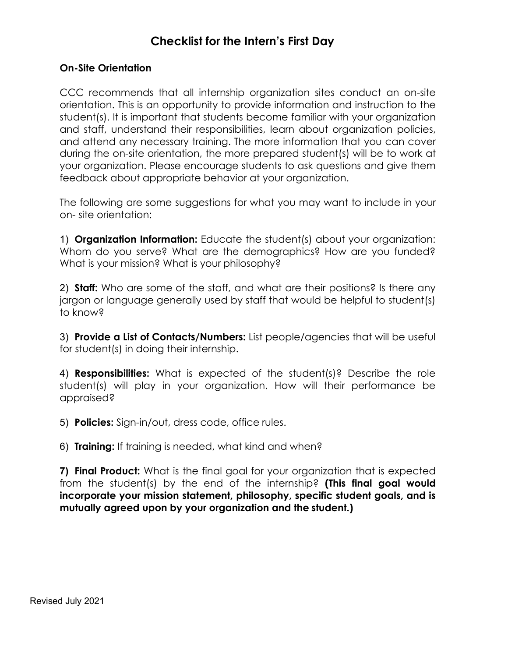## **Checklist for the Intern's First Day**

## **On-Site Orientation**

CCC recommends that all internship organization sites conduct an on-site orientation. This is an opportunity to provide information and instruction to the student(s). It is important that students become familiar with your organization and staff, understand their responsibilities, learn about organization policies, and attend any necessary training. The more information that you can cover during the on-site orientation, the more prepared student(s) will be to work at your organization. Please encourage students to ask questions and give them feedback about appropriate behavior at your organization.

The following are some suggestions for what you may want to include in your on- site orientation:

Whom do you serve? What are the demographics? How are you funded?<br>What is your mission? What is your philosophy? 1) **Organization Information:** Educate the student(s) about your organization:

2) **Staff:** Who are some of the staff, and what are their positions? Is there any jargon or language generally used by staff that would be helpful to student(s) to know?

 for student(s) in doing their internship. 3) **Provide a List of Contacts/Numbers:** List people/agencies that will be useful

4) **Responsibilities:** What is expected of the student(s)? Describe the role student(s) will play in your organization. How will their performance be appraised?

5) **Policies:** Sign-in/out, dress code, office rules.

6) **Training:** If training is needed, what kind and when?

 **mutually agreed upon by your organization and the student.) 7) Final Product:** What is the final goal for your organization that is expected from the student(s) by the end of the internship? **(This final goal would incorporate your mission statement, philosophy, specific student goals, and is**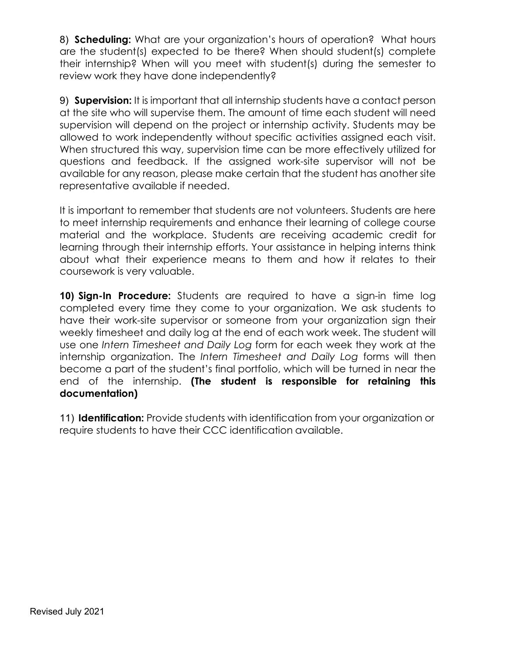8) **Scheduling:** What are your organization's hours of operation? What hours are the student(s) expected to be there? When should student(s) complete their internship? When will you meet with student(s) during the semester to review work they have done independently?

 When structured this way, supervision time can be more effectively utilized for 9) **Supervision:** It is important that all internship students have a contact person at the site who will supervise them. The amount of time each student will need supervision will depend on the project or internship activity. Students may be allowed to work independently without specific activities assigned each visit. questions and feedback. If the assigned work-site supervisor will not be available for any reason, please make certain that the student has another site representative available if needed.

 about what their experience means to them and how it relates to their coursework is very valuable. It is important to remember that students are not volunteers. Students are here to meet internship requirements and enhance their learning of college course material and the workplace. Students are receiving academic credit for learning through their internship efforts. Your assistance in helping interns think

**10) Sign-In Procedure:** Students are required to have a sign-in time log completed every time they come to your organization. We ask students to have their work-site supervisor or someone from your organization sign their weekly timesheet and daily log at the end of each work week. The student will use one *Intern Timesheet and Daily Log* form for each week they work at the internship organization. The *Intern Timesheet and Daily Log* forms will then become a part of the student's final portfolio, which will be turned in near the end of the internship. **(The student is responsible for retaining this documentation)** 

 require students to have their CCC identification available. 11) **Identification:** Provide students with identification from your organization or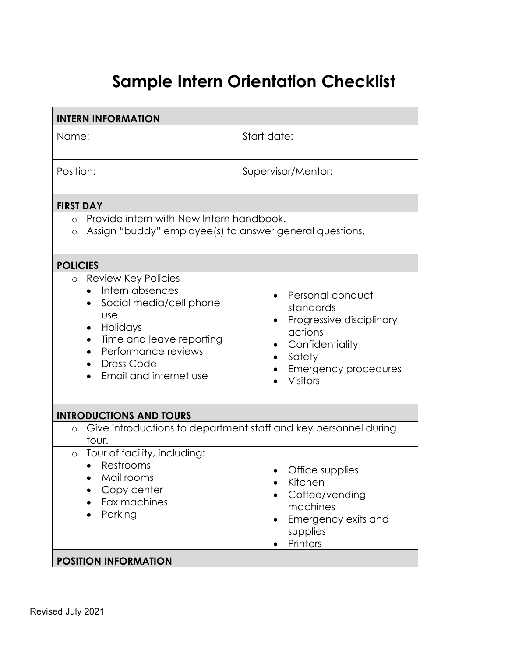## **Sample Intern Orientation Checklist**

| Start date:<br>Supervisor/Mentor:<br>Provide intern with New Intern handbook.<br>Assign "buddy" employee(s) to answer general questions.                 |
|----------------------------------------------------------------------------------------------------------------------------------------------------------|
|                                                                                                                                                          |
|                                                                                                                                                          |
|                                                                                                                                                          |
|                                                                                                                                                          |
|                                                                                                                                                          |
| Personal conduct<br>standards<br>Progressive disciplinary<br>actions<br>Confidentiality<br>Safety<br>٠<br><b>Emergency procedures</b><br><b>Visitors</b> |
|                                                                                                                                                          |
| Give introductions to department staff and key personnel during                                                                                          |
| Office supplies<br>Kitchen<br>Coffee/vending<br>machines<br>Emergency exits and<br>supplies<br>Printers                                                  |
|                                                                                                                                                          |